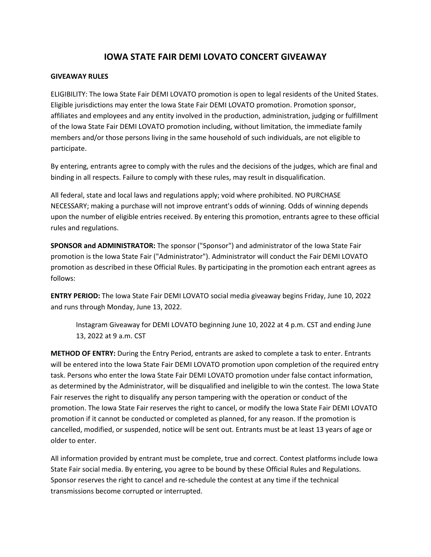## **IOWA STATE FAIR DEMI LOVATO CONCERT GIVEAWAY**

## **GIVEAWAY RULES**

ELIGIBILITY: The Iowa State Fair DEMI LOVATO promotion is open to legal residents of the United States. Eligible jurisdictions may enter the Iowa State Fair DEMI LOVATO promotion. Promotion sponsor, affiliates and employees and any entity involved in the production, administration, judging or fulfillment of the Iowa State Fair DEMI LOVATO promotion including, without limitation, the immediate family members and/or those persons living in the same household of such individuals, are not eligible to participate.

By entering, entrants agree to comply with the rules and the decisions of the judges, which are final and binding in all respects. Failure to comply with these rules, may result in disqualification.

All federal, state and local laws and regulations apply; void where prohibited. NO PURCHASE NECESSARY; making a purchase will not improve entrant's odds of winning. Odds of winning depends upon the number of eligible entries received. By entering this promotion, entrants agree to these official rules and regulations.

**SPONSOR and ADMINISTRATOR:** The sponsor ("Sponsor") and administrator of the Iowa State Fair promotion is the Iowa State Fair ("Administrator"). Administrator will conduct the Fair DEMI LOVATO promotion as described in these Official Rules. By participating in the promotion each entrant agrees as follows:

**ENTRY PERIOD:** The Iowa State Fair DEMI LOVATO social media giveaway begins Friday, June 10, 2022 and runs through Monday, June 13, 2022.

Instagram Giveaway for DEMI LOVATO beginning June 10, 2022 at 4 p.m. CST and ending June 13, 2022 at 9 a.m. CST

**METHOD OF ENTRY:** During the Entry Period, entrants are asked to complete a task to enter. Entrants will be entered into the Iowa State Fair DEMI LOVATO promotion upon completion of the required entry task. Persons who enter the Iowa State Fair DEMI LOVATO promotion under false contact information, as determined by the Administrator, will be disqualified and ineligible to win the contest. The Iowa State Fair reserves the right to disqualify any person tampering with the operation or conduct of the promotion. The Iowa State Fair reserves the right to cancel, or modify the Iowa State Fair DEMI LOVATO promotion if it cannot be conducted or completed as planned, for any reason. If the promotion is cancelled, modified, or suspended, notice will be sent out. Entrants must be at least 13 years of age or older to enter.

All information provided by entrant must be complete, true and correct. Contest platforms include Iowa State Fair social media. By entering, you agree to be bound by these Official Rules and Regulations. Sponsor reserves the right to cancel and re-schedule the contest at any time if the technical transmissions become corrupted or interrupted.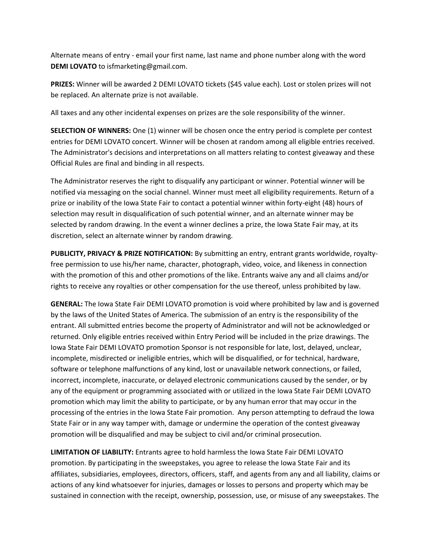Alternate means of entry - email your first name, last name and phone number along with the word **DEMI LOVATO** to isfmarketing@gmail.com.

**PRIZES:** Winner will be awarded 2 DEMI LOVATO tickets (\$45 value each). Lost or stolen prizes will not be replaced. An alternate prize is not available.

All taxes and any other incidental expenses on prizes are the sole responsibility of the winner.

**SELECTION OF WINNERS:** One (1) winner will be chosen once the entry period is complete per contest entries for DEMI LOVATO concert. Winner will be chosen at random among all eligible entries received. The Administrator's decisions and interpretations on all matters relating to contest giveaway and these Official Rules are final and binding in all respects.

The Administrator reserves the right to disqualify any participant or winner. Potential winner will be notified via messaging on the social channel. Winner must meet all eligibility requirements. Return of a prize or inability of the Iowa State Fair to contact a potential winner within forty-eight (48) hours of selection may result in disqualification of such potential winner, and an alternate winner may be selected by random drawing. In the event a winner declines a prize, the Iowa State Fair may, at its discretion, select an alternate winner by random drawing.

**PUBLICITY, PRIVACY & PRIZE NOTIFICATION:** By submitting an entry, entrant grants worldwide, royaltyfree permission to use his/her name, character, photograph, video, voice, and likeness in connection with the promotion of this and other promotions of the like. Entrants waive any and all claims and/or rights to receive any royalties or other compensation for the use thereof, unless prohibited by law.

**GENERAL:** The Iowa State Fair DEMI LOVATO promotion is void where prohibited by law and is governed by the laws of the United States of America. The submission of an entry is the responsibility of the entrant. All submitted entries become the property of Administrator and will not be acknowledged or returned. Only eligible entries received within Entry Period will be included in the prize drawings. The Iowa State Fair DEMI LOVATO promotion Sponsor is not responsible for late, lost, delayed, unclear, incomplete, misdirected or ineligible entries, which will be disqualified, or for technical, hardware, software or telephone malfunctions of any kind, lost or unavailable network connections, or failed, incorrect, incomplete, inaccurate, or delayed electronic communications caused by the sender, or by any of the equipment or programming associated with or utilized in the Iowa State Fair DEMI LOVATO promotion which may limit the ability to participate, or by any human error that may occur in the processing of the entries in the Iowa State Fair promotion. Any person attempting to defraud the Iowa State Fair or in any way tamper with, damage or undermine the operation of the contest giveaway promotion will be disqualified and may be subject to civil and/or criminal prosecution.

**LIMITATION OF LIABILITY:** Entrants agree to hold harmless the Iowa State Fair DEMI LOVATO promotion. By participating in the sweepstakes, you agree to release the Iowa State Fair and its affiliates, subsidiaries, employees, directors, officers, staff, and agents from any and all liability, claims or actions of any kind whatsoever for injuries, damages or losses to persons and property which may be sustained in connection with the receipt, ownership, possession, use, or misuse of any sweepstakes. The